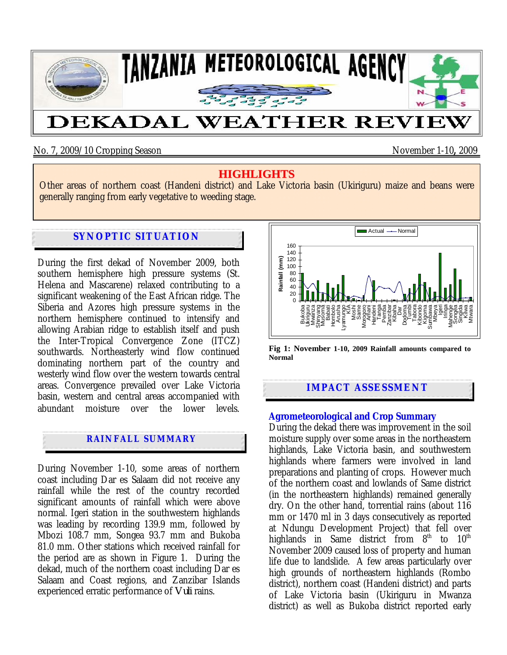

### No. 7, 2009/10 Cropping Season November 1-10**,** 2009

## **HIGHLIGHTS**

Other areas of northern coast (Handeni district) and Lake Victoria basin (Ukiriguru) maize and beans were generally ranging from early vegetative to weeding stage.

# **SYNOPTIC SITUATION**

During the first dekad of November 2009, both southern hemisphere high pressure systems (St. Helena and Mascarene) relaxed contributing to a significant weakening of the East African ridge. The Siberia and Azores high pressure systems in the northern hemisphere continued to intensify and allowing Arabian ridge to establish itself and push the Inter-Tropical Convergence Zone (ITCZ) southwards. Northeasterly wind flow continued dominating northern part of the country and westerly wind flow over the western towards central areas. Convergence prevailed over Lake Victoria basin, western and central areas accompanied with abundant moisture over the lower levels.

# **RAINFALL SUMMARY**

During November 1-10, some areas of northern coast including Dar es Salaam did not receive any rainfall while the rest of the country recorded significant amounts of rainfall which were above normal. Igeri station in the southwestern highlands was leading by recording 139.9 mm, followed by Mbozi 108.7 mm, Songea 93.7 mm and Bukoba 81.0 mm. Other stations which received rainfall for the period are as shown in Figure 1.During the dekad, much of the northern coast including Dar es Salaam and Coast regions, and Zanzibar Islands experienced erratic performance of *Vuli* rains.



**Fig 1: November 1-10, 2009 Rainfall amounts compared to Normal**

### **IMPACT ASSESSMENT**

### **Agrometeorological and Crop Summary**

During the dekad there was improvement in the soil moisture supply over some areas in the northeastern highlands, Lake Victoria basin, and southwestern highlands where farmers were involved in land preparations and planting of crops. However much of the northern coast and lowlands of Same district (in the northeastern highlands) remained generally dry. On the other hand, torrential rains (about 116 mm or 1470 ml in 3 days consecutively as reported at Ndungu Development Project) that fell over highlands in Same district from  $8<sup>th</sup>$  to  $10<sup>th</sup>$ November 2009 caused loss of property and human life due to landslide. A few areas particularly over high grounds of northeastern highlands (Rombo district), northern coast (Handeni district) and parts of Lake Victoria basin (Ukiriguru in Mwanza district) as well as Bukoba district reported early